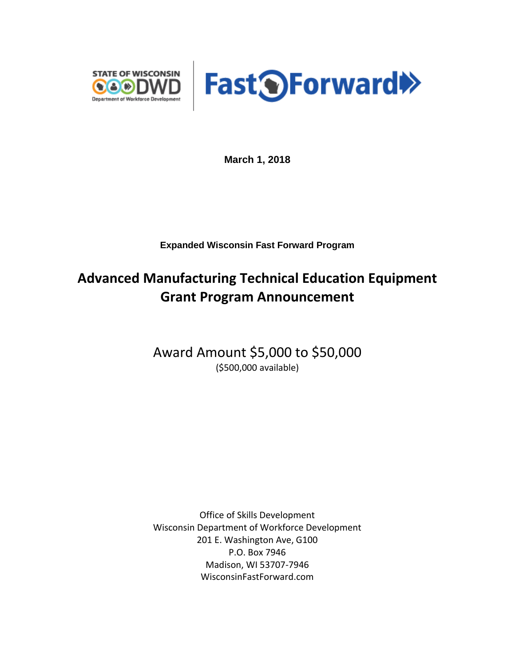



**March 1, 2018**

**Expanded Wisconsin Fast Forward Program**

## **Advanced Manufacturing Technical Education Equipment Grant Program Announcement**

Award Amount \$5,000 to \$50,000 (\$500,000 available)

Office of Skills Development Wisconsin Department of Workforce Development 201 E. Washington Ave, G100 P.O. Box 7946 Madison, WI 53707-7946 WisconsinFastForward.com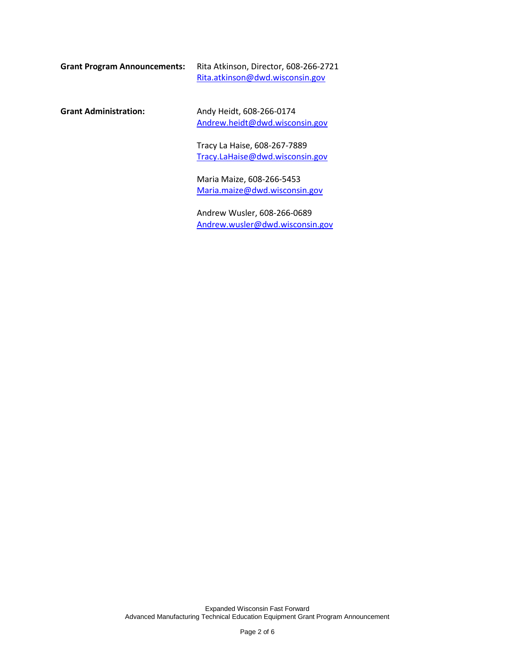| Grant Program Announcements: | Rita Atkinson, Director, 608-266-2721 |
|------------------------------|---------------------------------------|
|                              | Rita.atkinson@dwd.wisconsin.gov       |

**Grant Administration:** Andy Heidt, 608-266-0174 [Andrew.heidt@dwd.wisconsin.gov](mailto:Andrew.heidt@dwd.wisconsin.gov)

> Tracy La Haise, 608-267-7889 [Tracy.LaHaise@dwd.wisconsin.gov](mailto:Tracy.LaHaise@dwd.wisconsin.gov)

Maria Maize, 608-266-5453 [Maria.maize@dwd.wisconsin.gov](mailto:Maria.maize@dwd.wisconsin.gov)

Andrew Wusler, 608-266-0689 [Andrew.wusler@dwd.wisconsin.gov](mailto:Andrew.wusler@dwd.wisconsin.gov)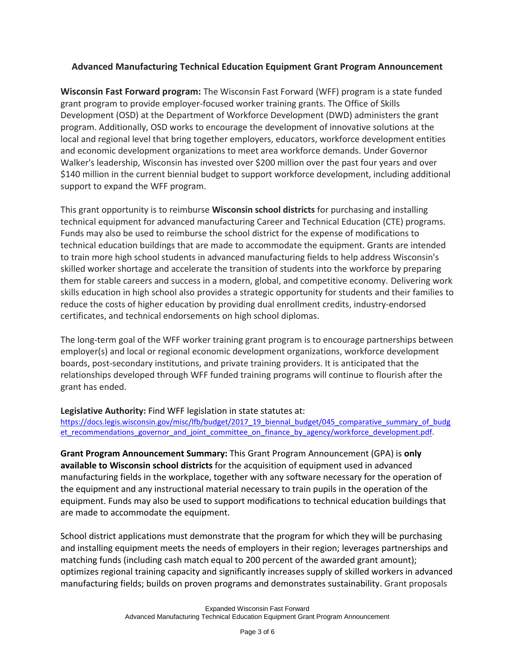## **Advanced Manufacturing Technical Education Equipment Grant Program Announcement**

**Wisconsin Fast Forward program:** The Wisconsin Fast Forward (WFF) program is a state funded grant program to provide employer-focused worker training grants. The Office of Skills Development (OSD) at the Department of Workforce Development (DWD) administers the grant program. Additionally, OSD works to encourage the development of innovative solutions at the local and regional level that bring together employers, educators, workforce development entities and economic development organizations to meet area workforce demands. Under Governor Walker's leadership, Wisconsin has invested over \$200 million over the past four years and over \$140 million in the current biennial budget to support workforce development, including additional support to expand the WFF program.

This grant opportunity is to reimburse **Wisconsin school districts** for purchasing and installing technical equipment for advanced manufacturing Career and Technical Education (CTE) programs. Funds may also be used to reimburse the school district for the expense of modifications to technical education buildings that are made to accommodate the equipment. Grants are intended to train more high school students in advanced manufacturing fields to help address Wisconsin's skilled worker shortage and accelerate the transition of students into the workforce by preparing them for stable careers and success in a modern, global, and competitive economy. Delivering work skills education in high school also provides a strategic opportunity for students and their families to reduce the costs of higher education by providing dual enrollment credits, industry-endorsed certificates, and technical endorsements on high school diplomas.

The long-term goal of the WFF worker training grant program is to encourage partnerships between employer(s) and local or regional economic development organizations, workforce development boards, post-secondary institutions, and private training providers. It is anticipated that the relationships developed through WFF funded training programs will continue to flourish after the grant has ended.

## **Legislative Authority:** Find WFF legislation in state statutes at:

[https://docs.legis.wisconsin.gov/misc/lfb/budget/2017\\_19\\_biennal\\_budget/045\\_comparative\\_summary\\_of\\_budg](https://docs.legis.wisconsin.gov/misc/lfb/budget/2017_19_biennal_budget/045_comparative_summary_of_budget_recommendations_governor_and_joint_committee_on_finance_by_agency/workforce_development.pdf) et recommendations governor and joint committee on finance by agency/workforce development.pdf.

**Grant Program Announcement Summary:** This Grant Program Announcement (GPA) is **only available to Wisconsin school districts** for the acquisition of equipment used in advanced manufacturing fields in the workplace, together with any software necessary for the operation of the equipment and any instructional material necessary to train pupils in the operation of the equipment. Funds may also be used to support modifications to technical education buildings that are made to accommodate the equipment.

School district applications must demonstrate that the program for which they will be purchasing and installing equipment meets the needs of employers in their region; leverages partnerships and matching funds (including cash match equal to 200 percent of the awarded grant amount); optimizes regional training capacity and significantly increases supply of skilled workers in advanced manufacturing fields; builds on proven programs and demonstrates sustainability. Grant proposals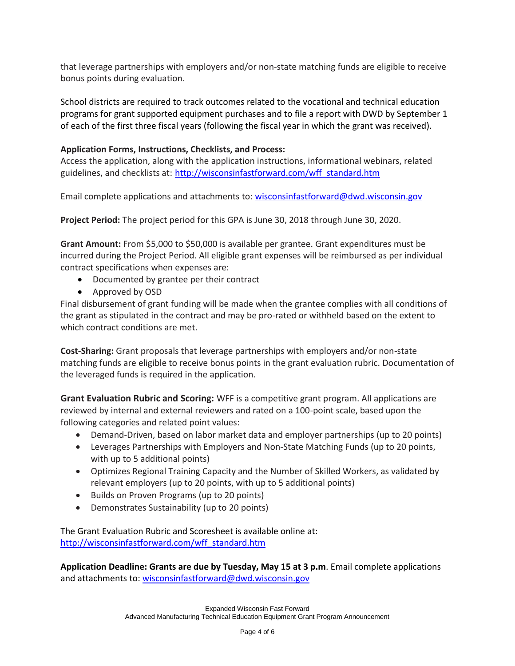that leverage partnerships with employers and/or non-state matching funds are eligible to receive bonus points during evaluation.

School districts are required to track outcomes related to the vocational and technical education programs for grant supported equipment purchases and to file a report with DWD by September 1 of each of the first three fiscal years (following the fiscal year in which the grant was received).

## **Application Forms, Instructions, Checklists, and Process:**

Access the application, along with the application instructions, informational webinars, related guidelines, and checklists at: [http://wisconsinfastforward.com/wff\\_standard.htm](http://wisconsinfastforward.com/wff_standard.htm)

Email complete applications and attachments to: [wisconsinfastforward@dwd.wisconsin.gov](mailto:wisconsinfastforward@dwd.wisconsin.gov) 

**Project Period:** The project period for this GPA is June 30, 2018 through June 30, 2020.

**Grant Amount:** From \$5,000 to \$50,000 is available per grantee. Grant expenditures must be incurred during the Project Period. All eligible grant expenses will be reimbursed as per individual contract specifications when expenses are:

- Documented by grantee per their contract
- Approved by OSD

Final disbursement of grant funding will be made when the grantee complies with all conditions of the grant as stipulated in the contract and may be pro-rated or withheld based on the extent to which contract conditions are met.

**Cost-Sharing:** Grant proposals that leverage partnerships with employers and/or non-state matching funds are eligible to receive bonus points in the grant evaluation rubric. Documentation of the leveraged funds is required in the application.

**Grant Evaluation Rubric and Scoring:** WFF is a competitive grant program. All applications are reviewed by internal and external reviewers and rated on a 100-point scale, based upon the following categories and related point values:

- Demand-Driven, based on labor market data and employer partnerships (up to 20 points)
- Leverages Partnerships with Employers and Non-State Matching Funds (up to 20 points, with up to 5 additional points)
- Optimizes Regional Training Capacity and the Number of Skilled Workers, as validated by relevant employers (up to 20 points, with up to 5 additional points)
- Builds on Proven Programs (up to 20 points)
- Demonstrates Sustainability (up to 20 points)

The Grant Evaluation Rubric and Scoresheet is available online at: [http://wisconsinfastforward.com/wff\\_standard.htm](http://wisconsinfastforward.com/wff_standard.htm)

**Application Deadline: Grants are due by Tuesday, May 15 at 3 p.m**. Email complete applications and attachments to: [wisconsinfastforward@dwd.wisconsin.gov](mailto:wisconsinfastforward@dwd.wisconsin.gov)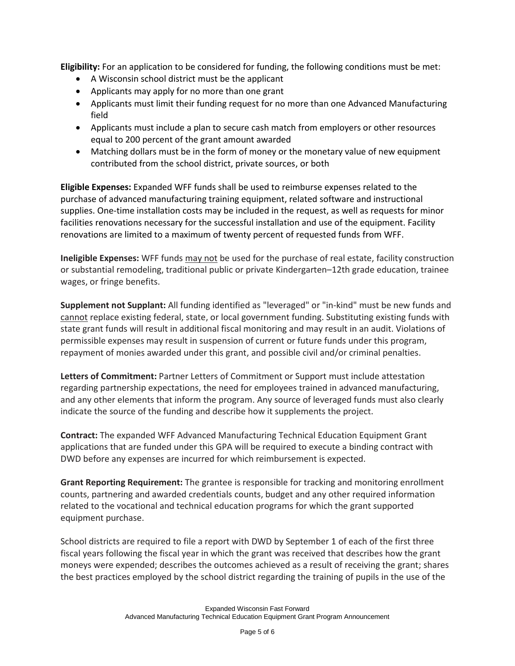**Eligibility:** For an application to be considered for funding, the following conditions must be met:

- A Wisconsin school district must be the applicant
- Applicants may apply for no more than one grant
- Applicants must limit their funding request for no more than one Advanced Manufacturing field
- Applicants must include a plan to secure cash match from employers or other resources equal to 200 percent of the grant amount awarded
- Matching dollars must be in the form of money or the monetary value of new equipment contributed from the school district, private sources, or both

**Eligible Expenses:** Expanded WFF funds shall be used to reimburse expenses related to the purchase of advanced manufacturing training equipment, related software and instructional supplies. One-time installation costs may be included in the request, as well as requests for minor facilities renovations necessary for the successful installation and use of the equipment. Facility renovations are limited to a maximum of twenty percent of requested funds from WFF.

**Ineligible Expenses:** WFF funds may not be used for the purchase of real estate, facility construction or substantial remodeling, traditional public or private Kindergarten–12th grade education, trainee wages, or fringe benefits.

**Supplement not Supplant:** All funding identified as "leveraged" or "in-kind" must be new funds and cannot replace existing federal, state, or local government funding. Substituting existing funds with state grant funds will result in additional fiscal monitoring and may result in an audit. Violations of permissible expenses may result in suspension of current or future funds under this program, repayment of monies awarded under this grant, and possible civil and/or criminal penalties.

**Letters of Commitment:** Partner Letters of Commitment or Support must include attestation regarding partnership expectations, the need for employees trained in advanced manufacturing, and any other elements that inform the program. Any source of leveraged funds must also clearly indicate the source of the funding and describe how it supplements the project.

**Contract:** The expanded WFF Advanced Manufacturing Technical Education Equipment Grant applications that are funded under this GPA will be required to execute a binding contract with DWD before any expenses are incurred for which reimbursement is expected.

**Grant Reporting Requirement:** The grantee is responsible for tracking and monitoring enrollment counts, partnering and awarded credentials counts, budget and any other required information related to the vocational and technical education programs for which the grant supported equipment purchase.

School districts are required to file a report with DWD by September 1 of each of the first three fiscal years following the fiscal year in which the grant was received that describes how the grant moneys were expended; describes the outcomes achieved as a result of receiving the grant; shares the best practices employed by the school district regarding the training of pupils in the use of the